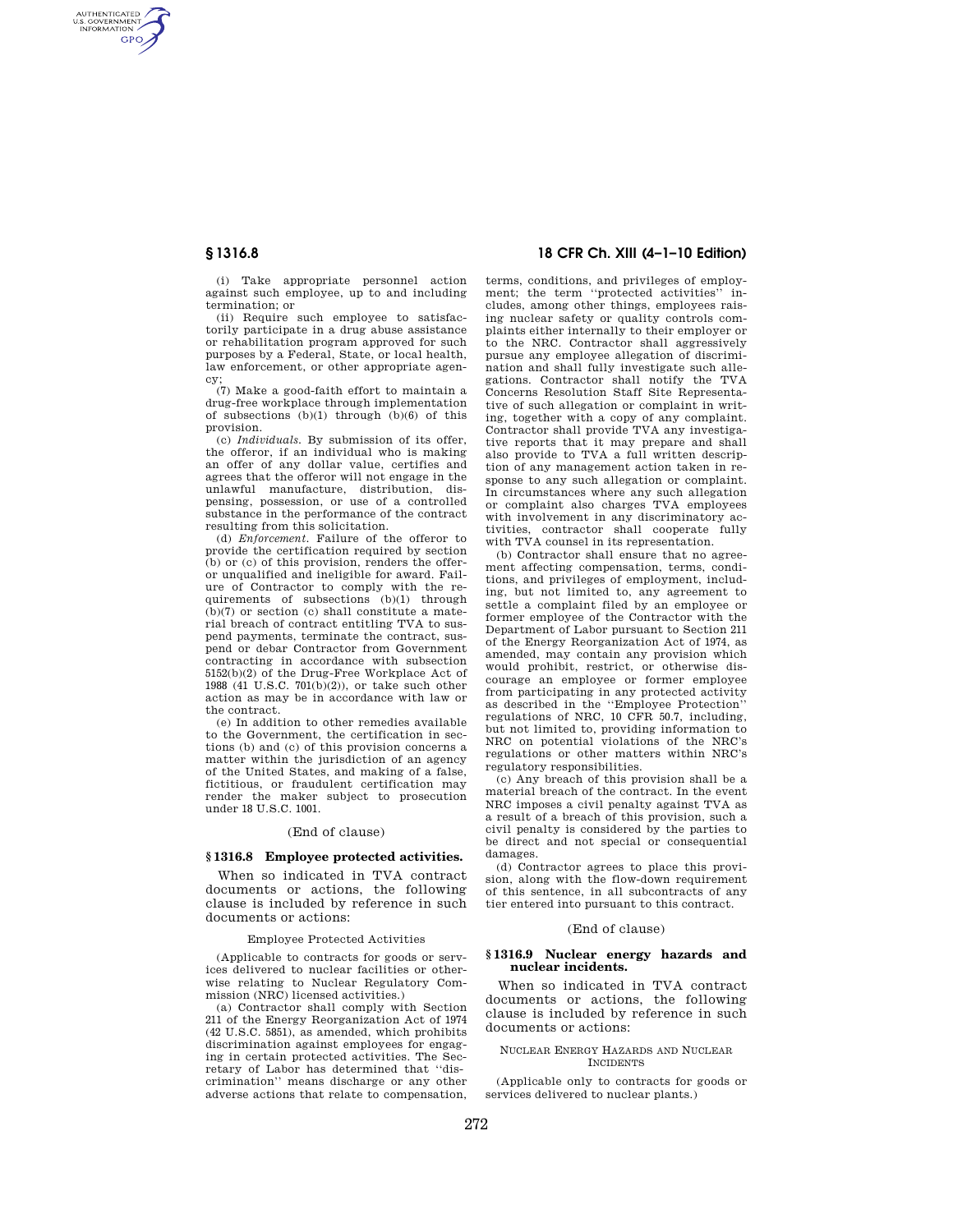AUTHENTICATED<br>U.S. GOVERNMENT<br>INFORMATION **GPO** 

> (i) Take appropriate personnel action against such employee, up to and including termination; or

> (ii) Require such employee to satisfactorily participate in a drug abuse assistance or rehabilitation program approved for such purposes by a Federal, State, or local health, law enforcement, or other appropriate agency;

> (7) Make a good-faith effort to maintain a drug-free workplace through implementation of subsections (b)(1) through (b)(6) of this provision.

> (c) *Individuals.* By submission of its offer, the offeror, if an individual who is making an offer of any dollar value, certifies and agrees that the offeror will not engage in the unlawful manufacture, distribution, dispensing, possession, or use of a controlled substance in the performance of the contract resulting from this solicitation.

> (d) *Enforcement.* Failure of the offeror to provide the certification required by section (b) or (c) of this provision, renders the offeror unqualified and ineligible for award. Failure of Contractor to comply with the requirements of subsections (b)(1) through (b)(7) or section (c) shall constitute a material breach of contract entitling TVA to suspend payments, terminate the contract, suspend or debar Contractor from Government contracting in accordance with subsection 5152(b)(2) of the Drug-Free Workplace Act of 1988 (41 U.S.C. 701(b)(2)), or take such other action as may be in accordance with law or the contract.

> (e) In addition to other remedies available to the Government, the certification in sections (b) and (c) of this provision concerns a matter within the jurisdiction of an agency of the United States, and making of a false, fictitious, or fraudulent certification may render the maker subject to prosecution under 18 U.S.C. 1001.

### (End of clause)

### **§ 1316.8 Employee protected activities.**

When so indicated in TVA contract documents or actions, the following clause is included by reference in such documents or actions:

### Employee Protected Activities

(Applicable to contracts for goods or services delivered to nuclear facilities or otherwise relating to Nuclear Regulatory Commission (NRC) licensed activities.)

(a) Contractor shall comply with Section 211 of the Energy Reorganization Act of 1974 (42 U.S.C. 5851), as amended, which prohibits discrimination against employees for engaging in certain protected activities. The Secretary of Labor has determined that ''discrimination'' means discharge or any other adverse actions that relate to compensation,

# **§ 1316.8 18 CFR Ch. XIII (4–1–10 Edition)**

terms, conditions, and privileges of employment; the term ''protected activities'' includes, among other things, employees raising nuclear safety or quality controls complaints either internally to their employer or to the NRC. Contractor shall aggressively pursue any employee allegation of discrimination and shall fully investigate such allegations. Contractor shall notify the TVA Concerns Resolution Staff Site Representative of such allegation or complaint in writing, together with a copy of any complaint. Contractor shall provide TVA any investigative reports that it may prepare and shall also provide to TVA a full written description of any management action taken in response to any such allegation or complaint. In circumstances where any such allegation or complaint also charges TVA employees with involvement in any discriminatory activities, contractor shall cooperate fully with TVA counsel in its representation.

(b) Contractor shall ensure that no agreement affecting compensation, terms, conditions, and privileges of employment, including, but not limited to, any agreement to settle a complaint filed by an employee or former employee of the Contractor with the Department of Labor pursuant to Section 211 of the Energy Reorganization Act of 1974, as amended, may contain any provision which would prohibit, restrict, or otherwise discourage an employee or former employee from participating in any protected activity as described in the ''Employee Protection'' regulations of NRC, 10 CFR 50.7, including, but not limited to, providing information to NRC on potential violations of the NRC's regulations or other matters within NRC's regulatory responsibilities.

(c) Any breach of this provision shall be a material breach of the contract. In the event NRC imposes a civil penalty against TVA as a result of a breach of this provision, such a civil penalty is considered by the parties to be direct and not special or consequential damages.

(d) Contractor agrees to place this provision, along with the flow-down requirement of this sentence, in all subcontracts of any tier entered into pursuant to this contract.

## (End of clause)

## **§ 1316.9 Nuclear energy hazards and nuclear incidents.**

When so indicated in TVA contract documents or actions, the following clause is included by reference in such documents or actions:

#### NUCLEAR ENERGY HAZARDS AND NUCLEAR INCIDENTS

(Applicable only to contracts for goods or services delivered to nuclear plants.)